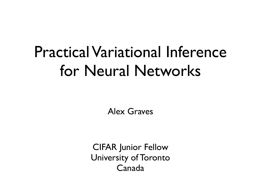## Practical Variational Inference for Neural Networks

Alex Graves

CIFAR Junior Fellow University of Toronto Canada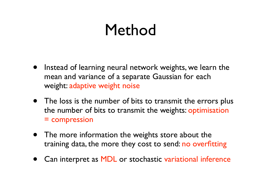## Method

- Instead of learning neural network weights, we learn the mean and variance of a separate Gaussian for each weight: adaptive weight noise
- The loss is the number of bits to transmit the errors plus the number of bits to transmit the weights: optimisation = compression
- The more information the weights store about the training data, the more they cost to send: no overfitting
- Can interpret as MDL or stochastic variational inference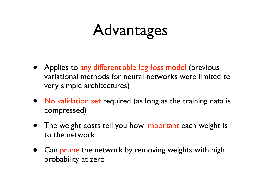## Advantages

- Applies to any differentiable log-loss model (previous variational methods for neural networks were limited to very simple architectures)
- No validation set required (as long as the training data is compressed)
- The weight costs tell you how important each weight is to the network
- Can prune the network by removing weights with high probability at zero